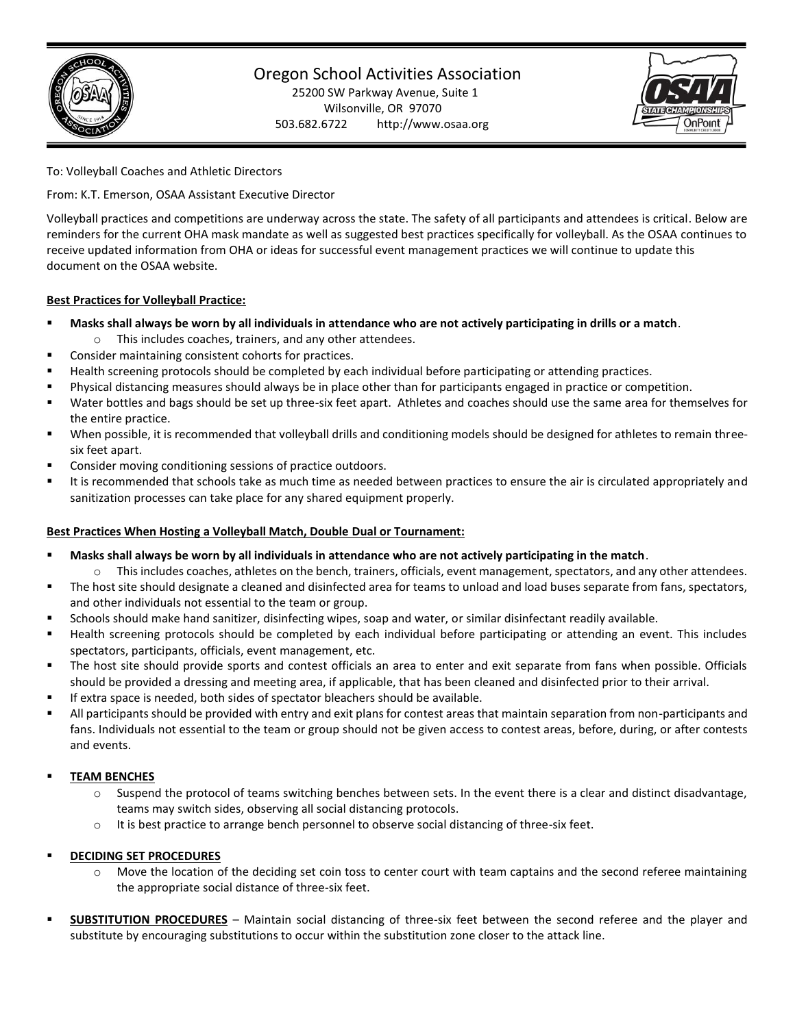

# Oregon School Activities Association

25200 SW Parkway Avenue, Suite 1 Wilsonville, OR 97070 503.682.6722 http://www.osaa.org



To: Volleyball Coaches and Athletic Directors

From: K.T. Emerson, OSAA Assistant Executive Director

Volleyball practices and competitions are underway across the state. The safety of all participants and attendees is critical. Below are reminders for the current OHA mask mandate as well as suggested best practices specifically for volleyball. As the OSAA continues to receive updated information from OHA or ideas for successful event management practices we will continue to update this document on the OSAA website.

### **Best Practices for Volleyball Practice:**

- **Masks shall always be worn by all individuals in attendance who are not actively participating in drills or a match**. o This includes coaches, trainers, and any other attendees.
- Consider maintaining consistent cohorts for practices.
- Health screening protocols should be completed by each individual before participating or attending practices.
- Physical distancing measures should always be in place other than for participants engaged in practice or competition.
- Water bottles and bags should be set up three-six feet apart. Athletes and coaches should use the same area for themselves for the entire practice.
- When possible, it is recommended that volleyball drills and conditioning models should be designed for athletes to remain threesix feet apart.
- Consider moving conditioning sessions of practice outdoors.
- It is recommended that schools take as much time as needed between practices to ensure the air is circulated appropriately and sanitization processes can take place for any shared equipment properly.

### **Best Practices When Hosting a Volleyball Match, Double Dual or Tournament:**

- Masks shall always be worn by all individuals in attendance who are not actively participating in the match.
- o This includes coaches, athletes on the bench, trainers, officials, event management, spectators, and any other attendees.
- The host site should designate a cleaned and disinfected area for teams to unload and load buses separate from fans, spectators, and other individuals not essential to the team or group.
- Schools should make hand sanitizer, disinfecting wipes, soap and water, or similar disinfectant readily available.
- Health screening protocols should be completed by each individual before participating or attending an event. This includes spectators, participants, officials, event management, etc.
- The host site should provide sports and contest officials an area to enter and exit separate from fans when possible. Officials should be provided a dressing and meeting area, if applicable, that has been cleaned and disinfected prior to their arrival.
- If extra space is needed, both sides of spectator bleachers should be available.
- All participants should be provided with entry and exit plans for contest areas that maintain separation from non-participants and fans. Individuals not essential to the team or group should not be given access to contest areas, before, during, or after contests and events.

# **TEAM BENCHES**

- $\circ$  Suspend the protocol of teams switching benches between sets. In the event there is a clear and distinct disadvantage, teams may switch sides, observing all social distancing protocols.
- o It is best practice to arrange bench personnel to observe social distancing of three-six feet.

# **DECIDING SET PROCEDURES**

- $\circ$  Move the location of the deciding set coin toss to center court with team captains and the second referee maintaining the appropriate social distance of three-six feet.
- **SUBSTITUTION PROCEDURES** Maintain social distancing of three-six feet between the second referee and the player and substitute by encouraging substitutions to occur within the substitution zone closer to the attack line.